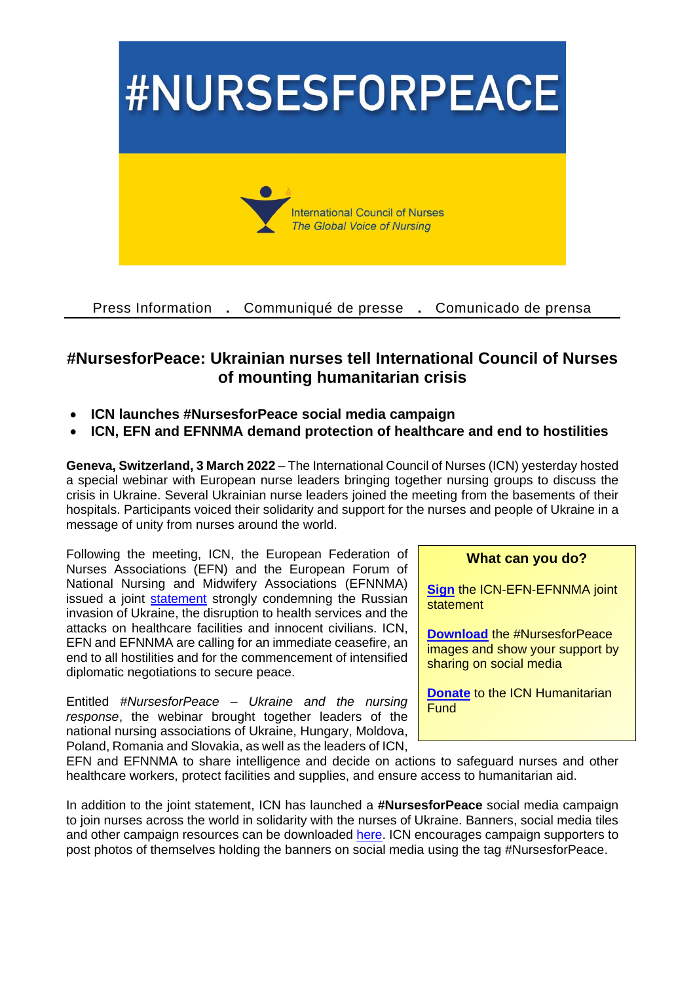

Press Information **.** Communiqué de presse **.** Comunicado de prensa

## **#NursesforPeace: Ukrainian nurses tell International Council of Nurses of mounting humanitarian crisis**

- **ICN launches #NursesforPeace social media campaign**
- **ICN, EFN and EFNNMA demand protection of healthcare and end to hostilities**

**Geneva, Switzerland, 3 March 2022** – The International Council of Nurses (ICN) yesterday hosted a special webinar with European nurse leaders bringing together nursing groups to discuss the crisis in Ukraine. Several Ukrainian nurse leaders joined the meeting from the basements of their hospitals. Participants voiced their solidarity and support for the nurses and people of Ukraine in a message of unity from nurses around the world.

Following the meeting, ICN, the European Federation of Nurses Associations (EFN) and the European Forum of National Nursing and Midwifery Associations (EFNNMA) issued a joint [statement](https://www.icn.ch/system/files/documents/2022-03/Statement_ICN_EFN_EFNNMA_1.pdf) strongly condemning the Russian invasion of Ukraine, the disruption to health services and the attacks on healthcare facilities and innocent civilians. ICN, EFN and EFNNMA are calling for an immediate ceasefire, an end to all hostilities and for the commencement of intensified diplomatic negotiations to secure peace.

Entitled *#NursesforPeace – Ukraine and the nursing response*, the webinar brought together leaders of the national nursing associations of Ukraine, Hungary, Moldova, Poland, Romania and Slovakia, as well as the leaders of ICN,

## **What can you do?**

**[Sign](https://www.gopetition.com/petitions/nursesforpeace.html)** the ICN-EFN-EFNNMA joint statement

**[Download](https://www.icn.ch/sites/default/files/inline-files/Nursesforpeace_Visuals.zip)** the #NursesforPeace images and show your support by sharing on social media

**[Donate](https://www.shop.icn.ch/collections/donations/products/icn-humanitarian-fund)** to the ICN Humanitarian **Fund** 

EFN and EFNNMA to share intelligence and decide on actions to safeguard nurses and other healthcare workers, protect facilities and supplies, and ensure access to humanitarian aid.

In addition to the joint statement, ICN has launched a **#NursesforPeace** social media campaign to join nurses across the world in solidarity with the nurses of Ukraine. Banners, social media tiles and other campaign resources can be downloaded [here.](https://www.icn.ch/sites/default/files/inline-files/Nursesforpeace_Visuals.zip) ICN encourages campaign supporters to post photos of themselves holding the banners on social media using the tag #NursesforPeace.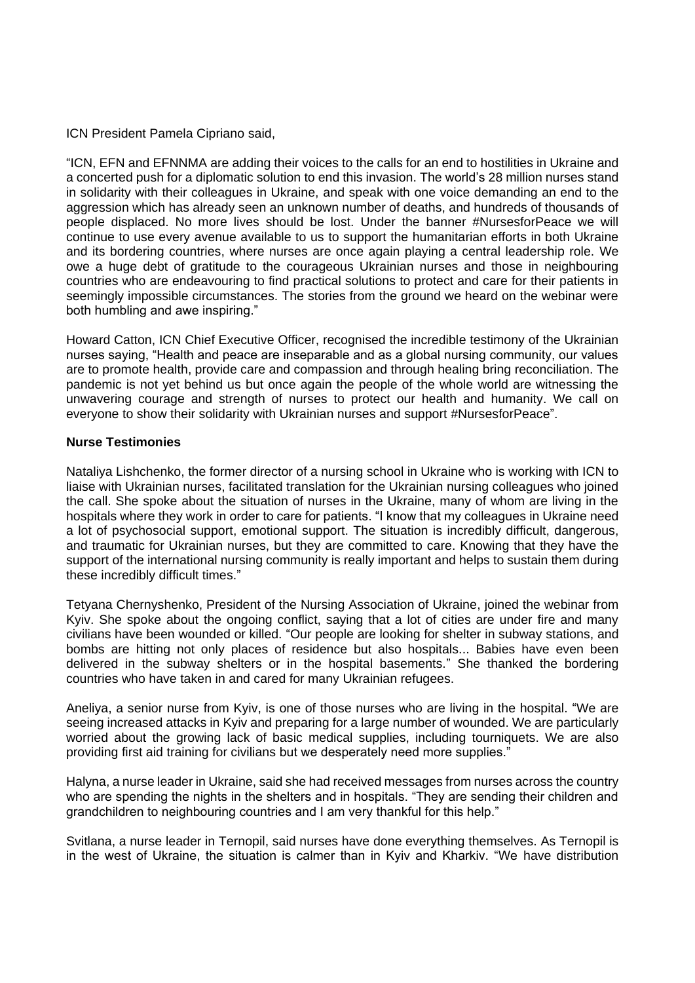ICN President Pamela Cipriano said,

"ICN, EFN and EFNNMA are adding their voices to the calls for an end to hostilities in Ukraine and a concerted push for a diplomatic solution to end this invasion. The world's 28 million nurses stand in solidarity with their colleagues in Ukraine, and speak with one voice demanding an end to the aggression which has already seen an unknown number of deaths, and hundreds of thousands of people displaced. No more lives should be lost. Under the banner #NursesforPeace we will continue to use every avenue available to us to support the humanitarian efforts in both Ukraine and its bordering countries, where nurses are once again playing a central leadership role. We owe a huge debt of gratitude to the courageous Ukrainian nurses and those in neighbouring countries who are endeavouring to find practical solutions to protect and care for their patients in seemingly impossible circumstances. The stories from the ground we heard on the webinar were both humbling and awe inspiring."

Howard Catton, ICN Chief Executive Officer, recognised the incredible testimony of the Ukrainian nurses saying, "Health and peace are inseparable and as a global nursing community, our values are to promote health, provide care and compassion and through healing bring reconciliation. The pandemic is not yet behind us but once again the people of the whole world are witnessing the unwavering courage and strength of nurses to protect our health and humanity. We call on everyone to show their solidarity with Ukrainian nurses and support #NursesforPeace".

## **Nurse Testimonies**

Nataliya Lishchenko, the former director of a nursing school in Ukraine who is working with ICN to liaise with Ukrainian nurses, facilitated translation for the Ukrainian nursing colleagues who joined the call. She spoke about the situation of nurses in the Ukraine, many of whom are living in the hospitals where they work in order to care for patients. "I know that my colleagues in Ukraine need a lot of psychosocial support, emotional support. The situation is incredibly difficult, dangerous, and traumatic for Ukrainian nurses, but they are committed to care. Knowing that they have the support of the international nursing community is really important and helps to sustain them during these incredibly difficult times."

Tetyana Chernyshenko, President of the Nursing Association of Ukraine, joined the webinar from Kyiv. She spoke about the ongoing conflict, saying that a lot of cities are under fire and many civilians have been wounded or killed. "Our people are looking for shelter in subway stations, and bombs are hitting not only places of residence but also hospitals... Babies have even been delivered in the subway shelters or in the hospital basements." She thanked the bordering countries who have taken in and cared for many Ukrainian refugees.

Aneliya, a senior nurse from Kyiv, is one of those nurses who are living in the hospital. "We are seeing increased attacks in Kyiv and preparing for a large number of wounded. We are particularly worried about the growing lack of basic medical supplies, including tourniquets. We are also providing first aid training for civilians but we desperately need more supplies."

Halyna, a nurse leader in Ukraine, said she had received messages from nurses across the country who are spending the nights in the shelters and in hospitals. "They are sending their children and grandchildren to neighbouring countries and I am very thankful for this help."

Svitlana, a nurse leader in Ternopil, said nurses have done everything themselves. As Ternopil is in the west of Ukraine, the situation is calmer than in Kyiv and Kharkiv. "We have distribution